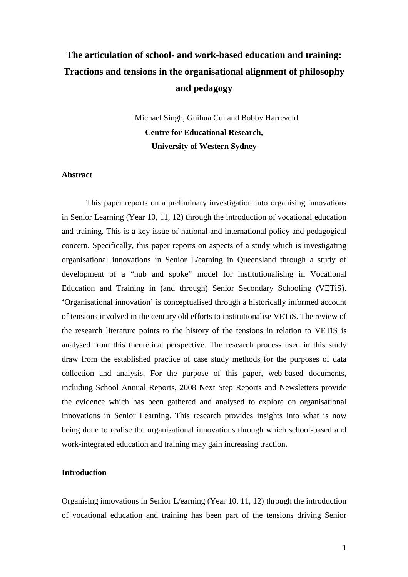# **The articulation of school- and work-based education and training: Tractions and tensions in the organisational alignment of philosophy and pedagogy**

Michael Singh, Guihua Cui and Bobby Harreveld **Centre for Educational Research, University of Western Sydney** 

### **Abstract**

This paper reports on a preliminary investigation into organising innovations in Senior Learning (Year 10, 11, 12) through the introduction of vocational education and training. This is a key issue of national and international policy and pedagogical concern. Specifically, this paper reports on aspects of a study which is investigating organisational innovations in Senior L/earning in Queensland through a study of development of a "hub and spoke" model for institutionalising in Vocational Education and Training in (and through) Senior Secondary Schooling (VETiS). 'Organisational innovation' is conceptualised through a historically informed account of tensions involved in the century old efforts to institutionalise VETiS. The review of the research literature points to the history of the tensions in relation to VETiS is analysed from this theoretical perspective. The research process used in this study draw from the established practice of case study methods for the purposes of data collection and analysis. For the purpose of this paper, web-based documents, including School Annual Reports, 2008 Next Step Reports and Newsletters provide the evidence which has been gathered and analysed to explore on organisational innovations in Senior Learning. This research provides insights into what is now being done to realise the organisational innovations through which school-based and work-integrated education and training may gain increasing traction.

## **Introduction**

Organising innovations in Senior L/earning (Year 10, 11, 12) through the introduction of vocational education and training has been part of the tensions driving Senior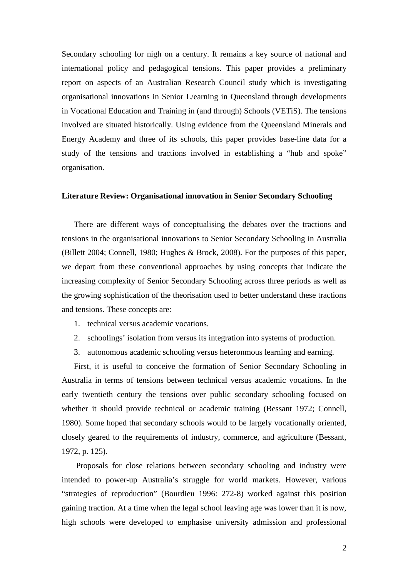Secondary schooling for nigh on a century. It remains a key source of national and international policy and pedagogical tensions. This paper provides a preliminary report on aspects of an Australian Research Council study which is investigating organisational innovations in Senior L/earning in Queensland through developments in Vocational Education and Training in (and through) Schools (VETiS). The tensions involved are situated historically. Using evidence from the Queensland Minerals and Energy Academy and three of its schools, this paper provides base-line data for a study of the tensions and tractions involved in establishing a "hub and spoke" organisation.

#### **Literature Review: Organisational innovation in Senior Secondary Schooling**

There are different ways of conceptualising the debates over the tractions and tensions in the organisational innovations to Senior Secondary Schooling in Australia (Billett 2004; Connell, 1980; Hughes & Brock, 2008). For the purposes of this paper, we depart from these conventional approaches by using concepts that indicate the increasing complexity of Senior Secondary Schooling across three periods as well as the growing sophistication of the theorisation used to better understand these tractions and tensions. These concepts are:

- 1. technical versus academic vocations.
- 2. schoolings' isolation from versus its integration into systems of production.
- 3. autonomous academic schooling versus heteronmous learning and earning.

First, it is useful to conceive the formation of Senior Secondary Schooling in Australia in terms of tensions between technical versus academic vocations. In the early twentieth century the tensions over public secondary schooling focused on whether it should provide technical or academic training (Bessant 1972; Connell, 1980). Some hoped that secondary schools would to be largely vocationally oriented, closely geared to the requirements of industry, commerce, and agriculture (Bessant, 1972, p. 125).

 Proposals for close relations between secondary schooling and industry were intended to power-up Australia's struggle for world markets. However, various "strategies of reproduction" (Bourdieu 1996: 272-8) worked against this position gaining traction. At a time when the legal school leaving age was lower than it is now, high schools were developed to emphasise university admission and professional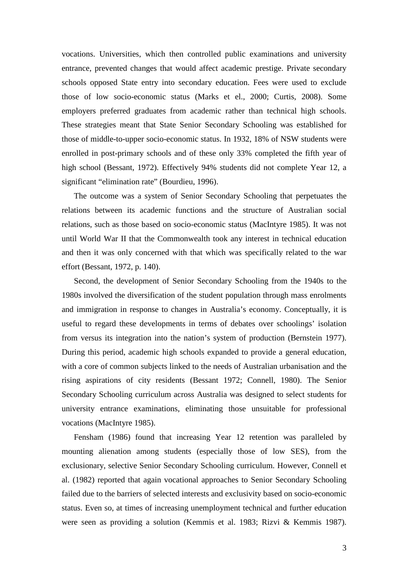vocations. Universities, which then controlled public examinations and university entrance, prevented changes that would affect academic prestige. Private secondary schools opposed State entry into secondary education. Fees were used to exclude those of low socio-economic status (Marks et el., 2000; Curtis, 2008). Some employers preferred graduates from academic rather than technical high schools. These strategies meant that State Senior Secondary Schooling was established for those of middle-to-upper socio-economic status. In 1932, 18% of NSW students were enrolled in post-primary schools and of these only 33% completed the fifth year of high school (Bessant, 1972). Effectively 94% students did not complete Year 12, a significant "elimination rate" (Bourdieu, 1996).

The outcome was a system of Senior Secondary Schooling that perpetuates the relations between its academic functions and the structure of Australian social relations, such as those based on socio-economic status (MacIntyre 1985). It was not until World War II that the Commonwealth took any interest in technical education and then it was only concerned with that which was specifically related to the war effort (Bessant, 1972, p. 140).

Second, the development of Senior Secondary Schooling from the 1940s to the 1980s involved the diversification of the student population through mass enrolments and immigration in response to changes in Australia's economy. Conceptually, it is useful to regard these developments in terms of debates over schoolings' isolation from versus its integration into the nation's system of production (Bernstein 1977). During this period, academic high schools expanded to provide a general education, with a core of common subjects linked to the needs of Australian urbanisation and the rising aspirations of city residents (Bessant 1972; Connell, 1980). The Senior Secondary Schooling curriculum across Australia was designed to select students for university entrance examinations, eliminating those unsuitable for professional vocations (MacIntyre 1985).

Fensham (1986) found that increasing Year 12 retention was paralleled by mounting alienation among students (especially those of low SES), from the exclusionary, selective Senior Secondary Schooling curriculum. However, Connell et al. (1982) reported that again vocational approaches to Senior Secondary Schooling failed due to the barriers of selected interests and exclusivity based on socio-economic status. Even so, at times of increasing unemployment technical and further education were seen as providing a solution (Kemmis et al. 1983; Rizvi & Kemmis 1987).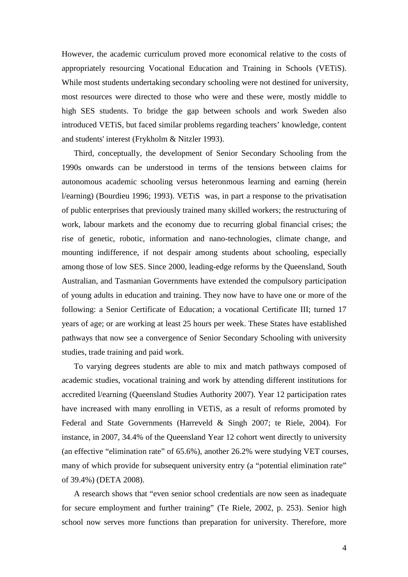However, the academic curriculum proved more economical relative to the costs of appropriately resourcing Vocational Education and Training in Schools (VETiS). While most students undertaking secondary schooling were not destined for university, most resources were directed to those who were and these were, mostly middle to high SES students. To bridge the gap between schools and work Sweden also introduced VETiS, but faced similar problems regarding teachers' knowledge, content and students' interest (Frykholm & Nitzler 1993).

Third, conceptually, the development of Senior Secondary Schooling from the 1990s onwards can be understood in terms of the tensions between claims for autonomous academic schooling versus heteronmous learning and earning (herein l/earning) (Bourdieu 1996; 1993). VETiS was, in part a response to the privatisation of public enterprises that previously trained many skilled workers; the restructuring of work, labour markets and the economy due to recurring global financial crises; the rise of genetic, robotic, information and nano-technologies, climate change, and mounting indifference, if not despair among students about schooling, especially among those of low SES. Since 2000, leading-edge reforms by the Queensland, South Australian, and Tasmanian Governments have extended the compulsory participation of young adults in education and training. They now have to have one or more of the following: a Senior Certificate of Education; a vocational Certificate III; turned 17 years of age; or are working at least 25 hours per week. These States have established pathways that now see a convergence of Senior Secondary Schooling with university studies, trade training and paid work.

To varying degrees students are able to mix and match pathways composed of academic studies, vocational training and work by attending different institutions for accredited l/earning (Queensland Studies Authority 2007). Year 12 participation rates have increased with many enrolling in VETiS, as a result of reforms promoted by Federal and State Governments (Harreveld & Singh 2007; te Riele, 2004). For instance, in 2007, 34.4% of the Queensland Year 12 cohort went directly to university (an effective "elimination rate" of 65.6%), another 26.2% were studying VET courses, many of which provide for subsequent university entry (a "potential elimination rate" of 39.4%) (DETA 2008).

A research shows that "even senior school credentials are now seen as inadequate for secure employment and further training" (Te Riele, 2002, p. 253). Senior high school now serves more functions than preparation for university. Therefore, more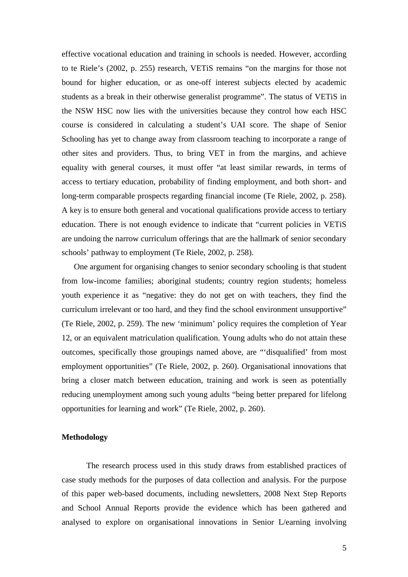effective vocational education and training in schools is needed. However, according to te Riele's (2002, p. 255) research, VETiS remains "on the margins for those not bound for higher education, or as one-off interest subjects elected by academic students as a break in their otherwise generalist programme". The status of VETiS in the NSW HSC now lies with the universities because they control how each HSC course is considered in calculating a student's UAI score. The shape of Senior Schooling has yet to change away from classroom teaching to incorporate a range of other sites and providers. Thus, to bring VET in from the margins, and achieve equality with general courses, it must offer "at least similar rewards, in terms of access to tertiary education, probability of finding employment, and both short- and long-term comparable prospects regarding financial income (Te Riele, 2002, p. 258). A key is to ensure both general and vocational qualifications provide access to tertiary education. There is not enough evidence to indicate that "current policies in VETiS are undoing the narrow curriculum offerings that are the hallmark of senior secondary schools' pathway to employment (Te Riele, 2002, p. 258).

One argument for organising changes to senior secondary schooling is that student from low-income families; aboriginal students; country region students; homeless youth experience it as "negative: they do not get on with teachers, they find the curriculum irrelevant or too hard, and they find the school environment unsupportive" (Te Riele, 2002, p. 259). The new 'minimum' policy requires the completion of Year 12, or an equivalent matriculation qualification. Young adults who do not attain these outcomes, specifically those groupings named above, are "'disqualified' from most employment opportunities" (Te Riele, 2002, p. 260). Organisational innovations that bring a closer match between education, training and work is seen as potentially reducing unemployment among such young adults "being better prepared for lifelong opportunities for learning and work" (Te Riele, 2002, p. 260).

#### **Methodology**

The research process used in this study draws from established practices of case study methods for the purposes of data collection and analysis. For the purpose of this paper web-based documents, including newsletters, 2008 Next Step Reports and School Annual Reports provide the evidence which has been gathered and analysed to explore on organisational innovations in Senior L/earning involving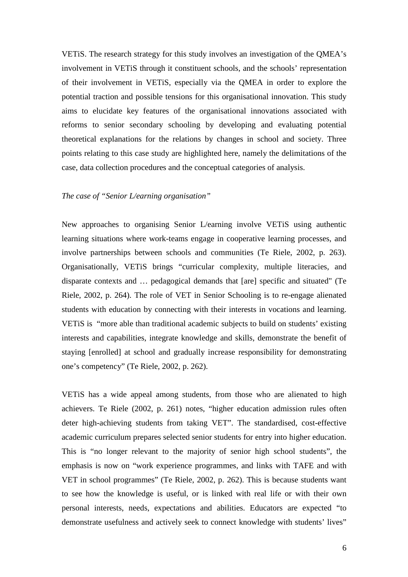VETiS. The research strategy for this study involves an investigation of the QMEA's involvement in VETiS through it constituent schools, and the schools' representation of their involvement in VETiS, especially via the QMEA in order to explore the potential traction and possible tensions for this organisational innovation. This study aims to elucidate key features of the organisational innovations associated with reforms to senior secondary schooling by developing and evaluating potential theoretical explanations for the relations by changes in school and society. Three points relating to this case study are highlighted here, namely the delimitations of the case, data collection procedures and the conceptual categories of analysis.

## *The case of "Senior L/earning organisation"*

New approaches to organising Senior L/earning involve VETiS using authentic learning situations where work-teams engage in cooperative learning processes, and involve partnerships between schools and communities (Te Riele, 2002, p. 263). Organisationally, VETiS brings "curricular complexity, multiple literacies, and disparate contexts and … pedagogical demands that [are] specific and situated" (Te Riele, 2002, p. 264). The role of VET in Senior Schooling is to re-engage alienated students with education by connecting with their interests in vocations and learning. VETiS is "more able than traditional academic subjects to build on students' existing interests and capabilities, integrate knowledge and skills, demonstrate the benefit of staying [enrolled] at school and gradually increase responsibility for demonstrating one's competency" (Te Riele, 2002, p. 262).

VETiS has a wide appeal among students, from those who are alienated to high achievers. Te Riele (2002, p. 261) notes, "higher education admission rules often deter high-achieving students from taking VET". The standardised, cost-effective academic curriculum prepares selected senior students for entry into higher education. This is "no longer relevant to the majority of senior high school students", the emphasis is now on "work experience programmes, and links with TAFE and with VET in school programmes" (Te Riele, 2002, p. 262). This is because students want to see how the knowledge is useful, or is linked with real life or with their own personal interests, needs, expectations and abilities. Educators are expected "to demonstrate usefulness and actively seek to connect knowledge with students' lives"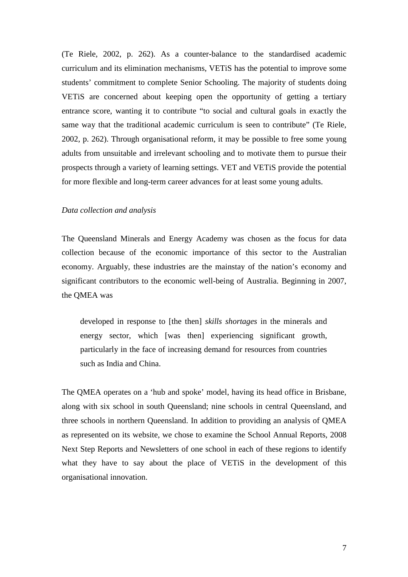(Te Riele, 2002, p. 262). As a counter-balance to the standardised academic curriculum and its elimination mechanisms, VETiS has the potential to improve some students' commitment to complete Senior Schooling. The majority of students doing VETiS are concerned about keeping open the opportunity of getting a tertiary entrance score, wanting it to contribute "to social and cultural goals in exactly the same way that the traditional academic curriculum is seen to contribute" (Te Riele, 2002, p. 262). Through organisational reform, it may be possible to free some young adults from unsuitable and irrelevant schooling and to motivate them to pursue their prospects through a variety of learning settings. VET and VETiS provide the potential for more flexible and long-term career advances for at least some young adults.

#### *Data collection and analysis*

The Queensland Minerals and Energy Academy was chosen as the focus for data collection because of the economic importance of this sector to the Australian economy. Arguably, these industries are the mainstay of the nation's economy and significant contributors to the economic well-being of Australia. Beginning in 2007, the QMEA was

developed in response to [the then] *skills shortages* in the minerals and energy sector, which [was then] experiencing significant growth, particularly in the face of increasing demand for resources from countries such as India and China.

The QMEA operates on a 'hub and spoke' model, having its head office in Brisbane, along with six school in south Queensland; nine schools in central Queensland, and three schools in northern Queensland. In addition to providing an analysis of QMEA as represented on its website, we chose to examine the School Annual Reports, 2008 Next Step Reports and Newsletters of one school in each of these regions to identify what they have to say about the place of VETiS in the development of this organisational innovation.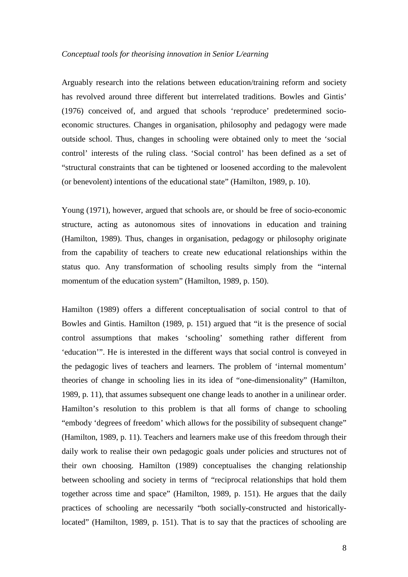#### *Conceptual tools for theorising innovation in Senior L/earning*

Arguably research into the relations between education/training reform and society has revolved around three different but interrelated traditions. Bowles and Gintis' (1976) conceived of, and argued that schools 'reproduce' predetermined socioeconomic structures. Changes in organisation, philosophy and pedagogy were made outside school. Thus, changes in schooling were obtained only to meet the 'social control' interests of the ruling class. 'Social control' has been defined as a set of "structural constraints that can be tightened or loosened according to the malevolent (or benevolent) intentions of the educational state" (Hamilton, 1989, p. 10).

Young (1971), however, argued that schools are, or should be free of socio-economic structure, acting as autonomous sites of innovations in education and training (Hamilton, 1989). Thus, changes in organisation, pedagogy or philosophy originate from the capability of teachers to create new educational relationships within the status quo. Any transformation of schooling results simply from the "internal momentum of the education system" (Hamilton, 1989, p. 150).

Hamilton (1989) offers a different conceptualisation of social control to that of Bowles and Gintis. Hamilton (1989, p. 151) argued that "it is the presence of social control assumptions that makes 'schooling' something rather different from 'education'". He is interested in the different ways that social control is conveyed in the pedagogic lives of teachers and learners. The problem of 'internal momentum' theories of change in schooling lies in its idea of "one-dimensionality" (Hamilton, 1989, p. 11), that assumes subsequent one change leads to another in a unilinear order. Hamilton's resolution to this problem is that all forms of change to schooling "embody 'degrees of freedom' which allows for the possibility of subsequent change" (Hamilton, 1989, p. 11). Teachers and learners make use of this freedom through their daily work to realise their own pedagogic goals under policies and structures not of their own choosing. Hamilton (1989) conceptualises the changing relationship between schooling and society in terms of "reciprocal relationships that hold them together across time and space" (Hamilton, 1989, p. 151). He argues that the daily practices of schooling are necessarily "both socially-constructed and historicallylocated" (Hamilton, 1989, p. 151). That is to say that the practices of schooling are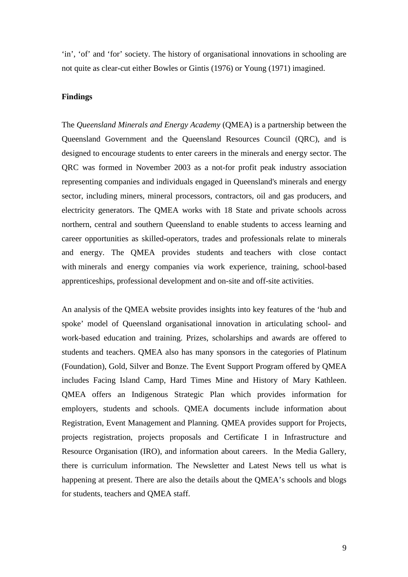'in', 'of' and 'for' society. The history of organisational innovations in schooling are not quite as clear-cut either Bowles or Gintis (1976) or Young (1971) imagined.

## **Findings**

The *Queensland Minerals and Energy Academy* (QMEA) is a partnership between the Queensland Government and the Queensland Resources Council (QRC), and is designed to encourage students to enter careers in the minerals and energy sector. The QRC was formed in November 2003 as a not-for profit peak industry association representing companies and individuals engaged in Queensland's minerals and energy sector, including miners, mineral processors, contractors, oil and gas producers, and electricity generators. The QMEA works with 18 State and private schools across northern, central and southern Queensland to enable students to access learning and career opportunities as skilled-operators, trades and professionals relate to minerals and energy. The QMEA provides students and teachers with close contact with minerals and energy companies via work experience, training, school-based apprenticeships, professional development and on-site and off-site activities.

An analysis of the QMEA website provides insights into key features of the 'hub and spoke' model of Queensland organisational innovation in articulating school- and work-based education and training. Prizes, scholarships and awards are offered to students and teachers. QMEA also has many sponsors in the categories of Platinum (Foundation), Gold, Silver and Bonze. The Event Support Program offered by QMEA includes Facing Island Camp, Hard Times Mine and History of Mary Kathleen. QMEA offers an Indigenous Strategic Plan which provides information for employers, students and schools. QMEA documents include information about Registration, Event Management and Planning. QMEA provides support for Projects, projects registration, projects proposals and Certificate I in Infrastructure and Resource Organisation (IRO), and information about careers. In the Media Gallery, there is curriculum information. The Newsletter and Latest News tell us what is happening at present. There are also the details about the QMEA's schools and blogs for students, teachers and QMEA staff.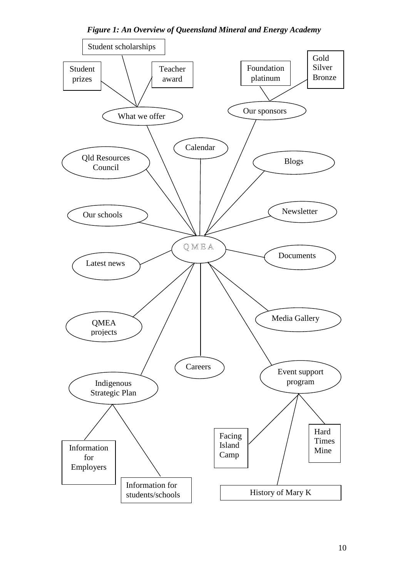

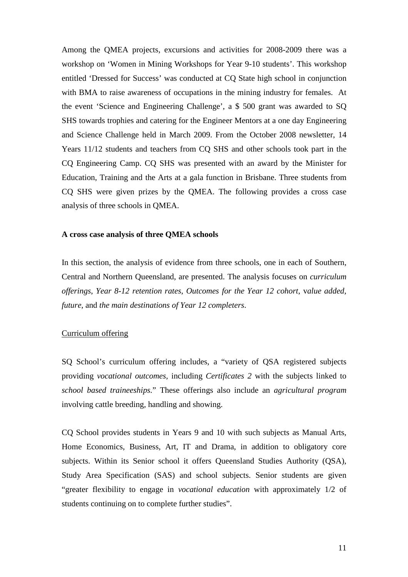Among the QMEA projects, excursions and activities for 2008-2009 there was a workshop on 'Women in Mining Workshops for Year 9-10 students'. This workshop entitled 'Dressed for Success' was conducted at CQ State high school in conjunction with BMA to raise awareness of occupations in the mining industry for females. At the event 'Science and Engineering Challenge', a \$ 500 grant was awarded to SQ SHS towards trophies and catering for the Engineer Mentors at a one day Engineering and Science Challenge held in March 2009. From the October 2008 newsletter, 14 Years 11/12 students and teachers from CQ SHS and other schools took part in the CQ Engineering Camp. CQ SHS was presented with an award by the Minister for Education, Training and the Arts at a gala function in Brisbane. Three students from CQ SHS were given prizes by the QMEA. The following provides a cross case analysis of three schools in QMEA.

#### **A cross case analysis of three QMEA schools**

In this section, the analysis of evidence from three schools, one in each of Southern, Central and Northern Queensland, are presented. The analysis focuses on *curriculum offerings*, *Year 8-12 retention rates*, *Outcomes for the Year 12 cohort*, v*alue added*, *future*, and *the main destinations of Year 12 completers*.

#### Curriculum offering

SQ School's curriculum offering includes, a "variety of QSA registered subjects providing *vocational outcomes,* including *Certificates 2* with the subjects linked to *school based traineeships.*" These offerings also include an *agricultural program* involving cattle breeding, handling and showing.

CQ School provides students in Years 9 and 10 with such subjects as Manual Arts, Home Economics, Business, Art, IT and Drama, in addition to obligatory core subjects. Within its Senior school it offers Queensland Studies Authority (QSA), Study Area Specification (SAS) and school subjects. Senior students are given "greater flexibility to engage in *vocational education* with approximately 1/2 of students continuing on to complete further studies".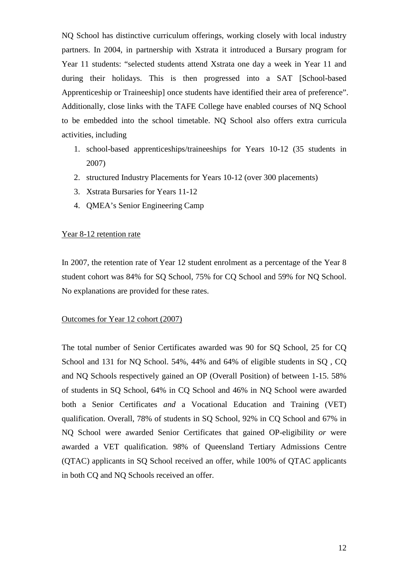NQ School has distinctive curriculum offerings, working closely with local industry partners. In 2004, in partnership with Xstrata it introduced a Bursary program for Year 11 students: "selected students attend Xstrata one day a week in Year 11 and during their holidays. This is then progressed into a SAT [School-based Apprenticeship or Traineeship] once students have identified their area of preference". Additionally, close links with the TAFE College have enabled courses of NQ School to be embedded into the school timetable. NQ School also offers extra curricula activities, including

- 1. school-based apprenticeships/traineeships for Years 10-12 (35 students in 2007)
- 2. structured Industry Placements for Years 10-12 (over 300 placements)
- 3. Xstrata Bursaries for Years 11-12
- 4. QMEA's Senior Engineering Camp

### Year 8-12 retention rate

In 2007, the retention rate of Year 12 student enrolment as a percentage of the Year 8 student cohort was 84% for SQ School, 75% for CQ School and 59% for NQ School. No explanations are provided for these rates.

### Outcomes for Year 12 cohort (2007)

The total number of Senior Certificates awarded was 90 for SQ School, 25 for CQ School and 131 for NQ School. 54%, 44% and 64% of eligible students in SQ , CQ and NQ Schools respectively gained an OP (Overall Position) of between 1-15. 58% of students in SQ School, 64% in CQ School and 46% in NQ School were awarded both a Senior Certificates *and* a Vocational Education and Training (VET) qualification. Overall, 78% of students in SQ School, 92% in CQ School and 67% in NQ School were awarded Senior Certificates that gained OP-eligibility *or* were awarded a VET qualification. 98% of Queensland Tertiary Admissions Centre (QTAC) applicants in SQ School received an offer, while 100% of QTAC applicants in both CQ and NQ Schools received an offer.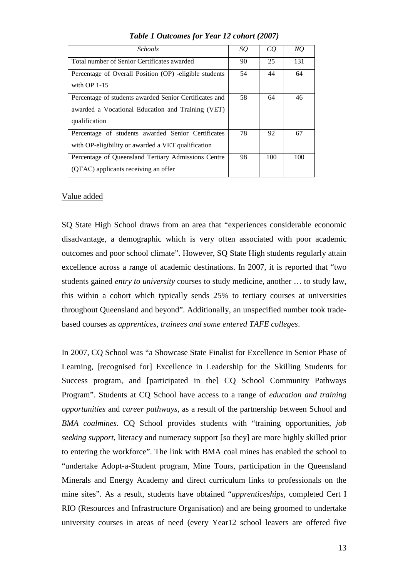| <i>Schools</i>                                                                                                               | SQ | CQ  | NQ  |
|------------------------------------------------------------------------------------------------------------------------------|----|-----|-----|
| Total number of Senior Certificates awarded                                                                                  | 90 | 25  | 131 |
| Percentage of Overall Position (OP) -eligible students<br>with $OP$ 1-15                                                     | 54 | 44  | 64  |
| Percentage of students awarded Senior Certificates and<br>awarded a Vocational Education and Training (VET)<br>qualification | 58 | 64  | 46  |
| Percentage of students awarded Senior Certificates<br>with OP-eligibility or awarded a VET qualification                     | 78 | 92  | 67  |
| Percentage of Queensland Tertiary Admissions Centre<br>(QTAC) applicants receiving an offer                                  | 98 | 100 | 100 |

*Table 1 Outcomes for Year 12 cohort (2007)* 

## Value added

SQ State High School draws from an area that "experiences considerable economic disadvantage, a demographic which is very often associated with poor academic outcomes and poor school climate". However, SQ State High students regularly attain excellence across a range of academic destinations. In 2007, it is reported that "two students gained *entry to university* courses to study medicine, another … to study law, this within a cohort which typically sends 25% to tertiary courses at universities throughout Queensland and beyond". Additionally, an unspecified number took tradebased courses as *apprentices, trainees and some entered TAFE colleges*.

In 2007, CQ School was "a Showcase State Finalist for Excellence in Senior Phase of Learning, [recognised for] Excellence in Leadership for the Skilling Students for Success program, and [participated in the] CQ School Community Pathways Program". Students at CQ School have access to a range of *education and training opportunities* and *career pathways*, as a result of the partnership between School and *BMA coalmines*. CQ School provides students with "training opportunities, *job seeking support*, literacy and numeracy support [so they] are more highly skilled prior to entering the workforce". The link with BMA coal mines has enabled the school to "undertake Adopt-a-Student program, Mine Tours, participation in the Queensland Minerals and Energy Academy and direct curriculum links to professionals on the mine sites". As a result, students have obtained "*apprenticeships*, completed Cert I RIO (Resources and Infrastructure Organisation) and are being groomed to undertake university courses in areas of need (every Year12 school leavers are offered five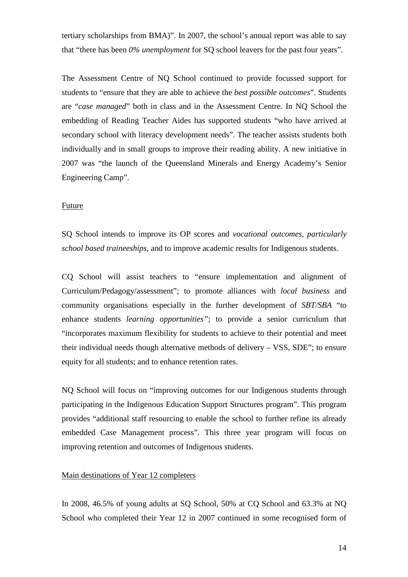tertiary scholarships from BMA)". In 2007, the school's annual report was able to say that "there has been *0% unemployment* for SQ school leavers for the past four years".

The Assessment Centre of NQ School continued to provide focussed support for students to "ensure that they are able to achieve the *best possible outcomes*". Students are "*case managed*" both in class and in the Assessment Centre. In NQ School the embedding of Reading Teacher Aides has supported students "who have arrived at secondary school with literacy development needs". The teacher assists students both individually and in small groups to improve their reading ability. A new initiative in 2007 was "the launch of the Queensland Minerals and Energy Academy's Senior Engineering Camp".

#### Future

SQ School intends to improve its OP scores and *vocational outcomes, particularly school based traineeships,* and to improve academic results for Indigenous students.

CQ School will assist teachers to "ensure implementation and alignment of Curriculum/Pedagogy/assessment"; to promote alliances with *local business* and community organisations especially in the further development of *SBT/SBA* "to enhance students *learning opportunities"*; to provide a senior curriculum that "incorporates maximum flexibility for students to achieve to their potential and meet their individual needs though alternative methods of delivery – VSS, SDE"; to ensure equity for all students; and to enhance retention rates.

NQ School will focus on "improving outcomes for our Indigenous students through participating in the Indigenous Education Support Structures program". This program provides "additional staff resourcing to enable the school to further refine its already embedded Case Management process". This three year program will focus on improving retention and outcomes of Indigenous students.

#### Main destinations of Year 12 completers

In 2008, 46.5% of young adults at SQ School, 50% at CQ School and 63.3% at NQ School who completed their Year 12 in 2007 continued in some recognised form of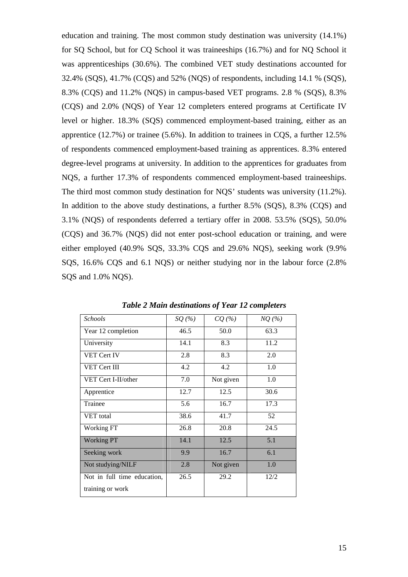education and training. The most common study destination was university (14.1%) for SQ School, but for CQ School it was traineeships (16.7%) and for NQ School it was apprenticeships (30.6%). The combined VET study destinations accounted for 32.4% (SQS), 41.7% (CQS) and 52% (NQS) of respondents, including 14.1 % (SQS), 8.3% (CQS) and 11.2% (NQS) in campus-based VET programs. 2.8 % (SQS), 8.3% (CQS) and 2.0% (NQS) of Year 12 completers entered programs at Certificate IV level or higher. 18.3% (SQS) commenced employment-based training, either as an apprentice (12.7%) or trainee (5.6%). In addition to trainees in CQS, a further 12.5% of respondents commenced employment-based training as apprentices. 8.3% entered degree-level programs at university. In addition to the apprentices for graduates from NQS, a further 17.3% of respondents commenced employment-based traineeships. The third most common study destination for NQS' students was university (11.2%). In addition to the above study destinations, a further 8.5% (SQS), 8.3% (CQS) and 3.1% (NQS) of respondents deferred a tertiary offer in 2008. 53.5% (SQS), 50.0% (CQS) and 36.7% (NQS) did not enter post-school education or training, and were either employed (40.9% SQS, 33.3% CQS and 29.6% NQS), seeking work (9.9% SQS, 16.6% CQS and 6.1 NQS) or neither studying nor in the labour force (2.8% SQS and 1.0% NQS).

| <b>Schools</b>              | $SQ$ (%) | CQ(%)     | $NQ(\%)$ |
|-----------------------------|----------|-----------|----------|
| Year 12 completion          | 46.5     | 50.0      | 63.3     |
| University                  | 14.1     | 8.3       | 11.2     |
| VET Cert IV                 | 2.8      | 8.3       | 2.0      |
| VET Cert III                | 4.2      | 4.2       | 1.0      |
| VET Cert I-II/other         | 7.0      | Not given | 1.0      |
| Apprentice                  | 12.7     | 12.5      | 30.6     |
| Trainee                     | 5.6      | 16.7      | 17.3     |
| VET total                   | 38.6     | 41.7      | 52       |
| Working FT                  | 26.8     | 20.8      | 24.5     |
| <b>Working PT</b>           | 14.1     | 12.5      | 5.1      |
| Seeking work                | 9.9      | 16.7      | 6.1      |
| Not studying/NILF           | 2.8      | Not given | 1.0      |
| Not in full time education, | 26.5     | 29.2      | 12/2     |
| training or work            |          |           |          |

*Table 2 Main destinations of Year 12 completers*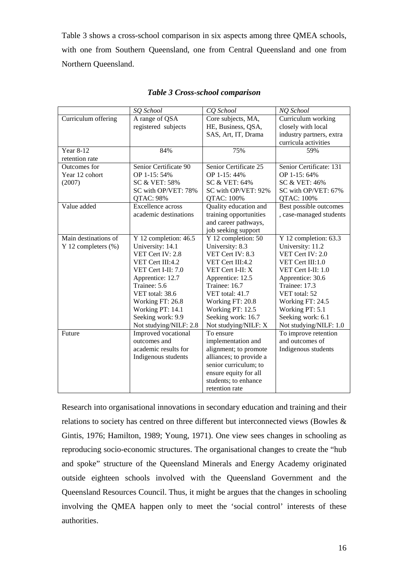Table 3 shows a cross-school comparison in six aspects among three QMEA schools, with one from Southern Queensland, one from Central Queensland and one from Northern Queensland.

|                      | SQ School                | CO School               | NQ School                |  |
|----------------------|--------------------------|-------------------------|--------------------------|--|
| Curriculum offering  | A range of QSA           | Core subjects, MA,      | Curriculum working       |  |
|                      | registered subjects      | HE, Business, QSA,      | closely with local       |  |
|                      |                          | SAS, Art, IT, Drama     | industry partners, extra |  |
|                      |                          |                         | curricula activities     |  |
| Year 8-12            | 84%                      | 75%                     | 59%                      |  |
| retention rate       |                          |                         |                          |  |
| Outcomes for         | Senior Certificate 90    | Senior Certificate 25   | Senior Certificate: 131  |  |
| Year 12 cohort       | OP 1-15:54%              | OP 1-15:44%             | OP 1-15:64%              |  |
| (2007)               | SC & VET: 58%            | SC & VET: 64%           | SC & VET: 46%            |  |
|                      | SC with OP/VET: 78%      | SC with OP/VET: 92%     | SC with OP/VET: 67%      |  |
|                      | QTAC: 98%                | QTAC: 100%              | QTAC: 100%               |  |
| Value added          | <b>Excellence</b> across | Quality education and   | Best possible outcomes   |  |
|                      | academic destinations    | training opportunities  | , case-managed students  |  |
|                      |                          | and career pathways,    |                          |  |
|                      |                          | job seeking support     |                          |  |
| Main destinations of | Y 12 completion: $46.5$  | Y 12 completion: 50     | Y 12 completion: 63.3    |  |
| Y 12 completers (%)  | University: 14.1         | University: 8.3         | University: 11.2         |  |
|                      | VET Cert IV: 2.8         | VET Cert IV: 8.3        | VET Cert IV: 2.0         |  |
|                      | VET Cert III:4.2         | VET Cert III:4.2        | VET Cert III:1.0         |  |
|                      | VET Cert I-II: 7.0       | VET Cert I-II: X        | VET Cert I-II: 1.0       |  |
|                      | Apprentice: 12.7         | Apprentice: 12.5        | Apprentice: 30.6         |  |
|                      | Trainee: 5.6             | Trainee: 16.7           | Trainee: 17.3            |  |
|                      | VET total: 38.6          | VET total: 41.7         | VET total: 52            |  |
|                      | Working FT: 26.8         | Working FT: 20.8        | Working FT: 24.5         |  |
|                      | Working PT: 14.1         | Working PT: 12.5        | Working PT: 5.1          |  |
|                      | Seeking work: 9.9        | Seeking work: 16.7      | Seeking work: 6.1        |  |
|                      | Not studying/NILF: 2.8   | Not studying/NILF: X    | Not studying/NILF: 1.0   |  |
| Future               | Improved vocational      | To ensure               | To improve retention     |  |
|                      | outcomes and             | implementation and      | and outcomes of          |  |
|                      | academic results for     | alignment; to promote   | Indigenous students      |  |
|                      | Indigenous students      | alliances; to provide a |                          |  |
|                      |                          | senior curriculum; to   |                          |  |
|                      |                          | ensure equity for all   |                          |  |
|                      |                          | students; to enhance    |                          |  |
|                      |                          | retention rate          |                          |  |

### *Table 3 Cross-school comparison*

Research into organisational innovations in secondary education and training and their relations to society has centred on three different but interconnected views (Bowles & Gintis, 1976; Hamilton, 1989; Young, 1971). One view sees changes in schooling as reproducing socio-economic structures. The organisational changes to create the "hub and spoke" structure of the Queensland Minerals and Energy Academy originated outside eighteen schools involved with the Queensland Government and the Queensland Resources Council. Thus, it might be argues that the changes in schooling involving the QMEA happen only to meet the 'social control' interests of these authorities.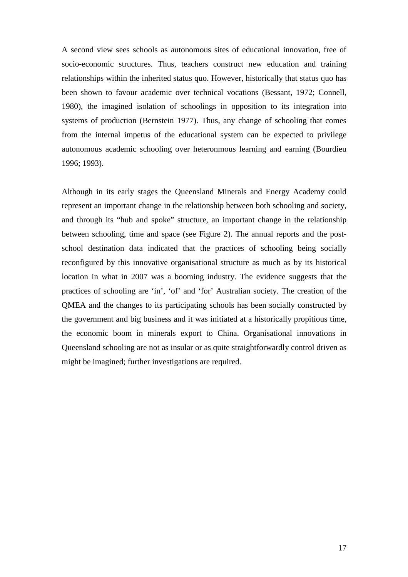A second view sees schools as autonomous sites of educational innovation, free of socio-economic structures. Thus, teachers construct new education and training relationships within the inherited status quo. However, historically that status quo has been shown to favour academic over technical vocations (Bessant, 1972; Connell, 1980), the imagined isolation of schoolings in opposition to its integration into systems of production (Bernstein 1977). Thus, any change of schooling that comes from the internal impetus of the educational system can be expected to privilege autonomous academic schooling over heteronmous learning and earning (Bourdieu 1996; 1993).

Although in its early stages the Queensland Minerals and Energy Academy could represent an important change in the relationship between both schooling and society, and through its "hub and spoke" structure, an important change in the relationship between schooling, time and space (see Figure 2). The annual reports and the postschool destination data indicated that the practices of schooling being socially reconfigured by this innovative organisational structure as much as by its historical location in what in 2007 was a booming industry. The evidence suggests that the practices of schooling are 'in', 'of' and 'for' Australian society. The creation of the QMEA and the changes to its participating schools has been socially constructed by the government and big business and it was initiated at a historically propitious time, the economic boom in minerals export to China. Organisational innovations in Queensland schooling are not as insular or as quite straightforwardly control driven as might be imagined; further investigations are required.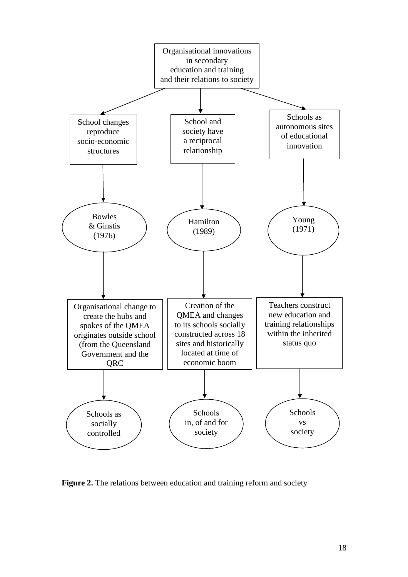

**Figure 2.** The relations between education and training reform and society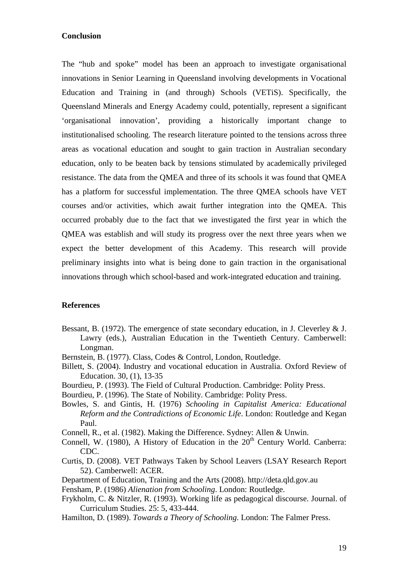## **Conclusion**

The "hub and spoke" model has been an approach to investigate organisational innovations in Senior Learning in Queensland involving developments in Vocational Education and Training in (and through) Schools (VETiS). Specifically, the Queensland Minerals and Energy Academy could, potentially, represent a significant 'organisational innovation', providing a historically important change to institutionalised schooling. The research literature pointed to the tensions across three areas as vocational education and sought to gain traction in Australian secondary education, only to be beaten back by tensions stimulated by academically privileged resistance. The data from the QMEA and three of its schools it was found that QMEA has a platform for successful implementation. The three QMEA schools have VET courses and/or activities, which await further integration into the QMEA. This occurred probably due to the fact that we investigated the first year in which the QMEA was establish and will study its progress over the next three years when we expect the better development of this Academy. This research will provide preliminary insights into what is being done to gain traction in the organisational innovations through which school-based and work-integrated education and training.

## **References**

- Bessant, B. (1972). The emergence of state secondary education, in J. Cleverley & J. Lawry (eds.), Australian Education in the Twentieth Century. Camberwell: Longman.
- Bernstein, B. (1977). Class, Codes & Control, London, Routledge.
- Billett, S. (2004). Industry and vocational education in Australia. Oxford Review of Education. 30, (1), 13-35
- Bourdieu, P. (1993). The Field of Cultural Production. Cambridge: Polity Press.
- Bourdieu, P. (1996). The State of Nobility. Cambridge: Polity Press.
- Bowles, S. and Gintis, H. (1976) *Schooling in Capitalist America: Educational Reform and the Contradictions of Economic Life*. London: Routledge and Kegan Paul.
- Connell, R., et al. (1982). Making the Difference. Sydney: Allen & Unwin.
- Connell, W. (1980), A History of Education in the  $20<sup>th</sup>$  Century World. Canberra: CDC.
- Curtis, D. (2008). VET Pathways Taken by School Leavers (LSAY Research Report 52). Camberwell: ACER.
- Department of Education, Training and the Arts (2008). http://deta.qld.gov.au

Fensham, P. (1986) *Alienation from Schooling*. London: Routledge.

- Frykholm, C. & Nitzler, R. (1993). Working life as pedagogical discourse. Journal. of Curriculum Studies. 25: 5, 433-444.
- Hamilton, D. (1989). *Towards a Theory of Schooling*. London: The Falmer Press.